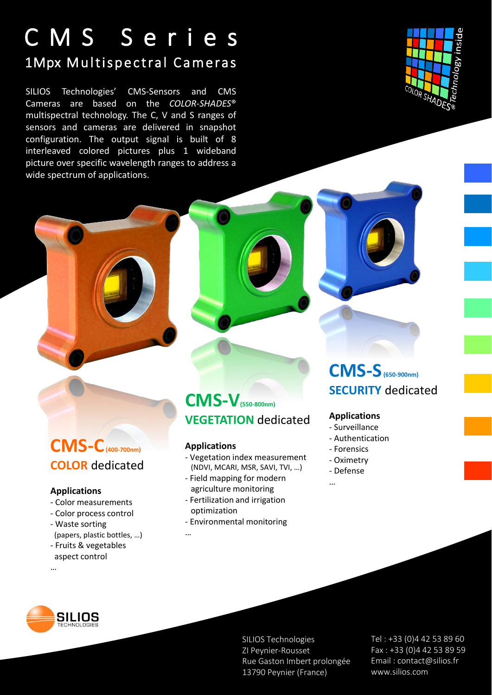## C M S S e r i e s 1Mpx Multispectral Cameras

SILIOS Technologies' CMS-Sensors and CMS Cameras are based on the *COLOR-SHADES*® multispectral technology. The C, V and S ranges of sensors and cameras are delivered in snapshot configuration. The output signal is built of 8 interleaved colored pictures plus 1 wideband picture over specific wavelength ranges to address a wide spectrum of applications.



## **CMS-C(400-700nm) COLOR** dedicated

#### **Applications**

- Color measurements
- Color process control
- Waste sorting (papers, plastic bottles, …)
- Fruits & vegetables
- aspect control …

### **CMS-V(550-800nm) VEGETATION** dedicated

#### **Applications**

…

- Vegetation index measurement (NDVI, MCARI, MSR, SAVI, TVI, …)
- Field mapping for modern agriculture monitoring
- Fertilization and irrigation optimization
- Environmental monitoring

### **CMS-S(650-900nm) SECURITY** dedicated

#### **Applications**

- Surveillance
- Authentication
- Forensics
- Oximetry

…

- Defense



SILIOS Technologies ZI Peynier-Rousset Rue Gaston Imbert prolongée 13790 Peynier (France)

Tel : +33 (0)4 42 53 89 60 Fax : +33 (0)4 42 53 89 59 Email : contact@silios.fr www.silios.com